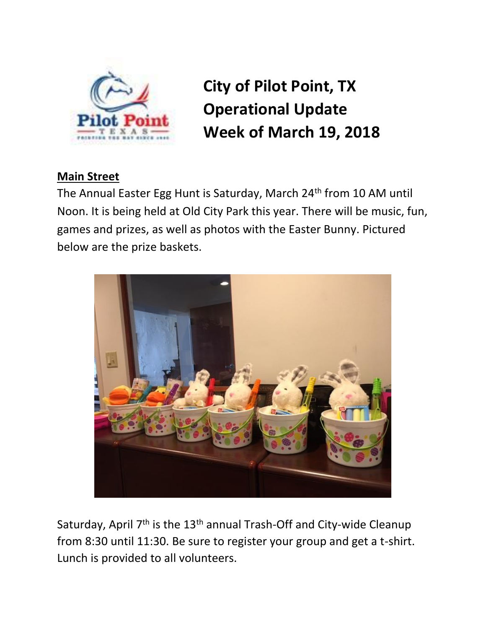

**City of Pilot Point, TX Operational Update Week of March 19, 2018**

## **Main Street**

The Annual Easter Egg Hunt is Saturday, March 24<sup>th</sup> from 10 AM until Noon. It is being held at Old City Park this year. There will be music, fun, games and prizes, as well as photos with the Easter Bunny. Pictured below are the prize baskets.



Saturday, April 7<sup>th</sup> is the 13<sup>th</sup> annual Trash-Off and City-wide Cleanup from 8:30 until 11:30. Be sure to register your group and get a t-shirt. Lunch is provided to all volunteers.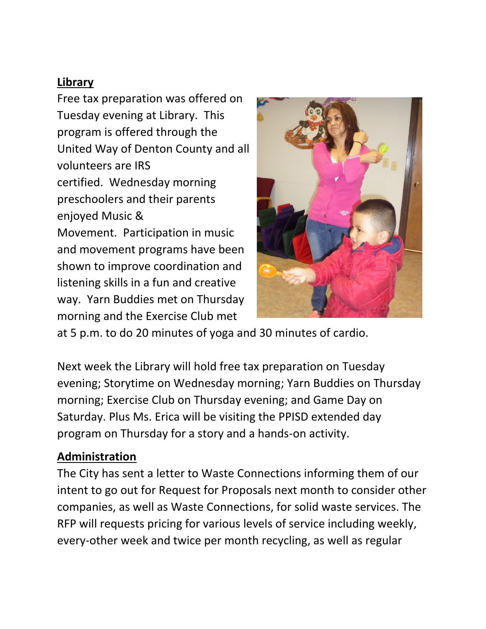# **Library**

Free tax preparation was offered on Tuesday evening at Library. This program is offered through the United Way of Denton County and all volunteers are IRS certified. Wednesday morning preschoolers and their parents enjoyed Music & Movement. Participation in music and movement programs have been shown to improve coordination and listening skills in a fun and creative way. Yarn Buddies met on Thursday morning and the Exercise Club met



at 5 p.m. to do 20 minutes of yoga and 30 minutes of cardio.

Next week the Library will hold free tax preparation on Tuesday evening; Storytime on Wednesday morning; Yarn Buddies on Thursday morning; Exercise Club on Thursday evening; and Game Day on Saturday. Plus Ms. Erica will be visiting the PPISD extended day program on Thursday for a story and a hands-on activity.

### **Administration**

The City has sent a letter to Waste Connections informing them of our intent to go out for Request for Proposals next month to consider other companies, as well as Waste Connections, for solid waste services. The RFP will requests pricing for various levels of service including weekly, every-other week and twice per month recycling, as well as regular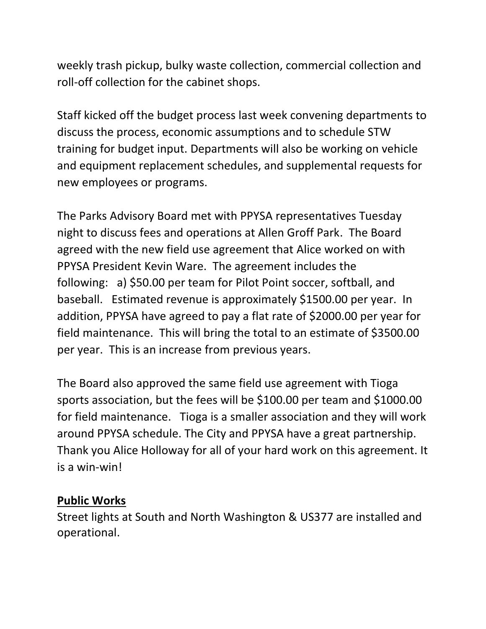weekly trash pickup, bulky waste collection, commercial collection and roll-off collection for the cabinet shops.

Staff kicked off the budget process last week convening departments to discuss the process, economic assumptions and to schedule STW training for budget input. Departments will also be working on vehicle and equipment replacement schedules, and supplemental requests for new employees or programs.

The Parks Advisory Board met with PPYSA representatives Tuesday night to discuss fees and operations at Allen Groff Park. The Board agreed with the new field use agreement that Alice worked on with PPYSA President Kevin Ware. The agreement includes the following: a) \$50.00 per team for Pilot Point soccer, softball, and baseball. Estimated revenue is approximately \$1500.00 per year. In addition, PPYSA have agreed to pay a flat rate of \$2000.00 per year for field maintenance. This will bring the total to an estimate of \$3500.00 per year. This is an increase from previous years.

The Board also approved the same field use agreement with Tioga sports association, but the fees will be \$100.00 per team and \$1000.00 for field maintenance. Tioga is a smaller association and they will work around PPYSA schedule. The City and PPYSA have a great partnership. Thank you Alice Holloway for all of your hard work on this agreement. It is a win-win!

## **Public Works**

Street lights at South and North Washington & US377 are installed and operational.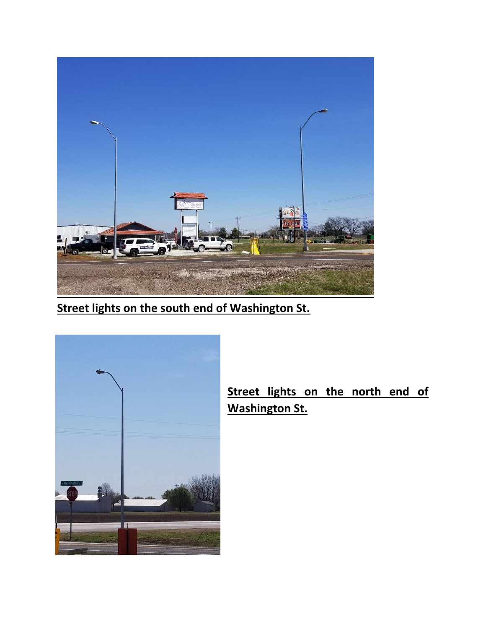

**Street lights on the south end of Washington St.**



**Street lights on the north end of Washington St.**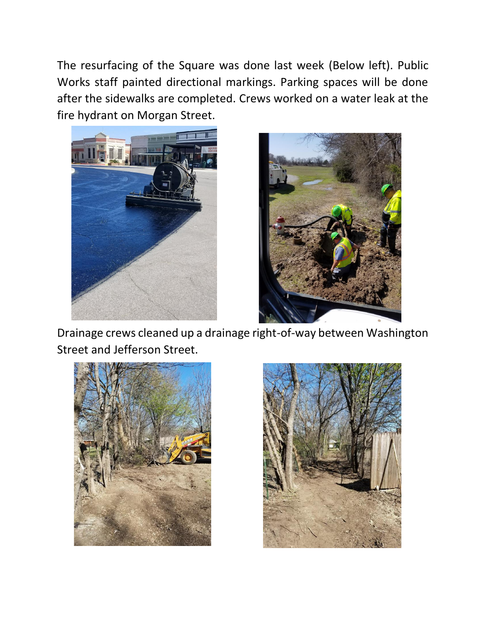The resurfacing of the Square was done last week (Below left). Public Works staff painted directional markings. Parking spaces will be done after the sidewalks are completed. Crews worked on a water leak at the fire hydrant on Morgan Street.





Drainage crews cleaned up a drainage right-of-way between Washington Street and Jefferson Street.



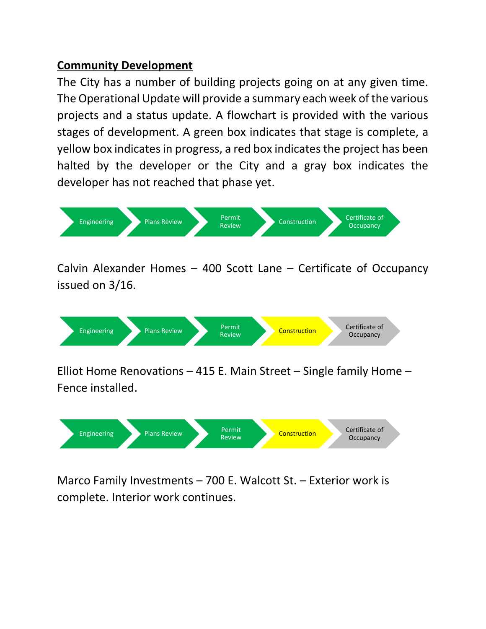## **Community Development**

The City has a number of building projects going on at any given time. The Operational Update will provide a summary each week of the various projects and a status update. A flowchart is provided with the various stages of development. A green box indicates that stage is complete, a yellow box indicates in progress, a red box indicates the project has been halted by the developer or the City and a gray box indicates the developer has not reached that phase yet.



Calvin Alexander Homes – 400 Scott Lane – Certificate of Occupancy issued on 3/16.



Elliot Home Renovations – 415 E. Main Street – Single family Home – Fence installed.



Marco Family Investments – 700 E. Walcott St. – Exterior work is complete. Interior work continues.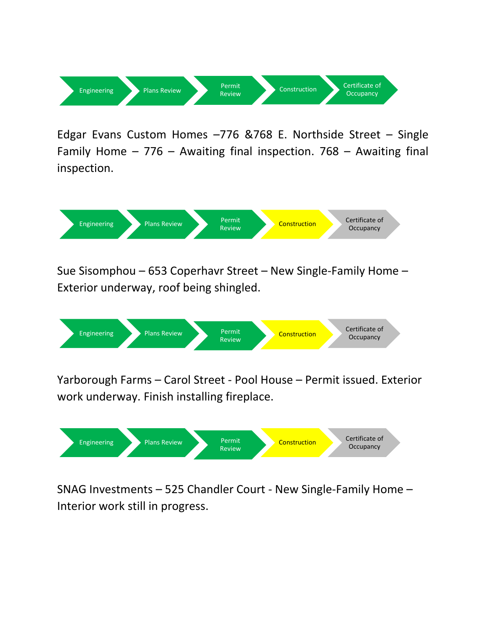

Edgar Evans Custom Homes –776 &768 E. Northside Street – Single Family Home – 776 – Awaiting final inspection. 768 – Awaiting final inspection.



Sue Sisomphou – 653 Coperhavr Street – New Single-Family Home – Exterior underway, roof being shingled.



Yarborough Farms – Carol Street - Pool House – Permit issued. Exterior work underway. Finish installing fireplace.



SNAG Investments – 525 Chandler Court - New Single-Family Home – Interior work still in progress.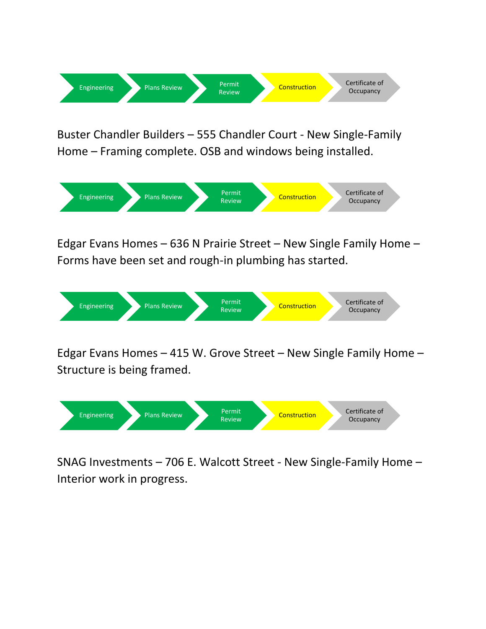

Buster Chandler Builders – 555 Chandler Court - New Single-Family Home – Framing complete. OSB and windows being installed.



Edgar Evans Homes – 636 N Prairie Street – New Single Family Home – Forms have been set and rough-in plumbing has started.



Edgar Evans Homes – 415 W. Grove Street – New Single Family Home – Structure is being framed.



SNAG Investments – 706 E. Walcott Street - New Single-Family Home – Interior work in progress.